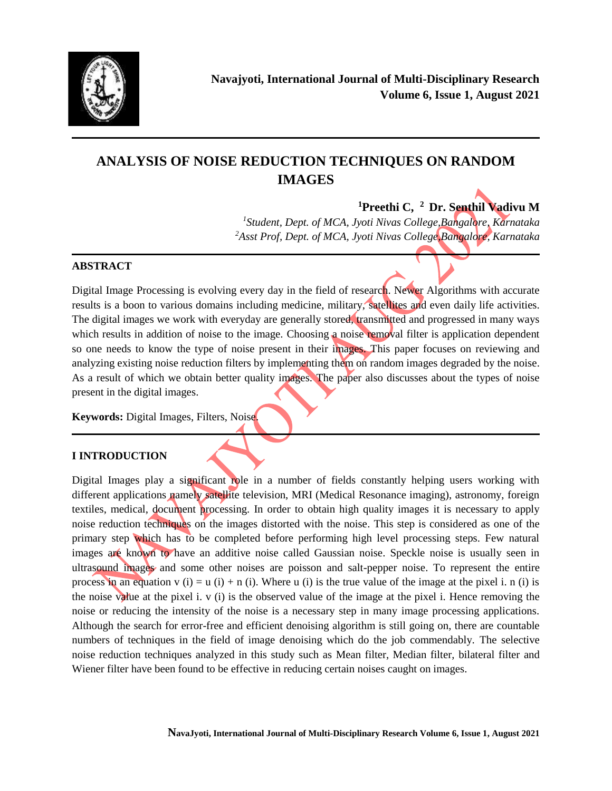

# **ANALYSIS OF NOISE REDUCTION TECHNIQUES ON RANDOM IMAGES**

**<sup>1</sup>Preethi C, <sup>2</sup> Dr. Senthil Vadivu M** *1 Student, Dept. of MCA, Jyoti Nivas College,Bangalore, Karnataka*

*<sup>2</sup>Asst Prof, Dept. of MCA, Jyoti Nivas College,Bangalore, Karnataka*

## **ABSTRACT**

Digital Image Processing is evolving every day in the field of research. Newer Algorithms with accurate results is a boon to various domains including medicine, military, satellites and even daily life activities. The digital images we work with everyday are generally stored, transmitted and progressed in many ways which results in addition of noise to the image. Choosing a noise removal filter is application dependent so one needs to know the type of noise present in their images. This paper focuses on reviewing and analyzing existing noise reduction filters by implementing them on random images degraded by the noise. As a result of which we obtain better quality images. The paper also discusses about the types of noise present in the digital images.

**Keywords:** Digital Images, Filters, Noise.

## **I INTRODUCTION**

Digital Images play a significant role in a number of fields constantly helping users working with different applications namely satellite television, MRI (Medical Resonance imaging), astronomy, foreign textiles, medical, document processing. In order to obtain high quality images it is necessary to apply noise reduction techniques on the images distorted with the noise. This step is considered as one of the primary step which has to be completed before performing high level processing steps. Few natural images are known to have an additive noise called Gaussian noise. Speckle noise is usually seen in ultrasound images and some other noises are poisson and salt-pepper noise. To represent the entire process in an equation v (i) = u (i) + n (i). Where u (i) is the true value of the image at the pixel i. n (i) is the noise value at the pixel i.  $v$  (i) is the observed value of the image at the pixel i. Hence removing the noise or reducing the intensity of the noise is a necessary step in many image processing applications. Although the search for error-free and efficient denoising algorithm is still going on, there are countable numbers of techniques in the field of image denoising which do the job commendably. The selective noise reduction techniques analyzed in this study such as Mean filter, Median filter, bilateral filter and Wiener filter have been found to be effective in reducing certain noises caught on images.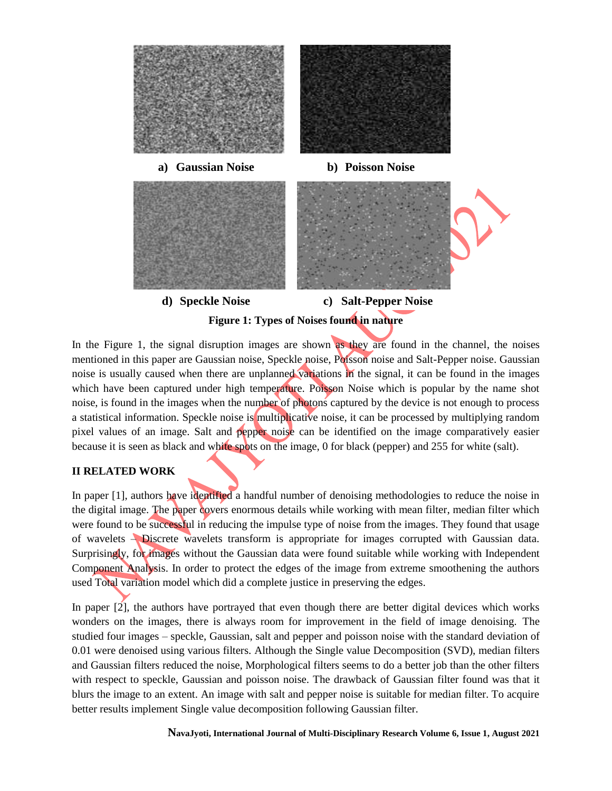

In the Figure 1, the signal disruption images are shown as they are found in the channel, the noises mentioned in this paper are Gaussian noise, Speckle noise, Poisson noise and Salt-Pepper noise. Gaussian noise is usually caused when there are unplanned variations in the signal, it can be found in the images which have been captured under high temperature. Poisson Noise which is popular by the name shot noise, is found in the images when the number of photons captured by the device is not enough to process a statistical information. Speckle noise is multiplicative noise, it can be processed by multiplying random pixel values of an image. Salt and pepper noise can be identified on the image comparatively easier because it is seen as black and white spots on the image, 0 for black (pepper) and 255 for white (salt).

### **II RELATED WORK**

In paper [1], authors have identified a handful number of denoising methodologies to reduce the noise in the digital image. The paper covers enormous details while working with mean filter, median filter which were found to be successful in reducing the impulse type of noise from the images. They found that usage of wavelets – Discrete wavelets transform is appropriate for images corrupted with Gaussian data. Surprisingly, for images without the Gaussian data were found suitable while working with Independent Component Analysis. In order to protect the edges of the image from extreme smoothening the authors used Total variation model which did a complete justice in preserving the edges.

In paper [2], the authors have portrayed that even though there are better digital devices which works wonders on the images, there is always room for improvement in the field of image denoising. The studied four images – speckle, Gaussian, salt and pepper and poisson noise with the standard deviation of 0.01 were denoised using various filters. Although the Single value Decomposition (SVD), median filters and Gaussian filters reduced the noise, Morphological filters seems to do a better job than the other filters with respect to speckle, Gaussian and poisson noise. The drawback of Gaussian filter found was that it blurs the image to an extent. An image with salt and pepper noise is suitable for median filter. To acquire better results implement Single value decomposition following Gaussian filter.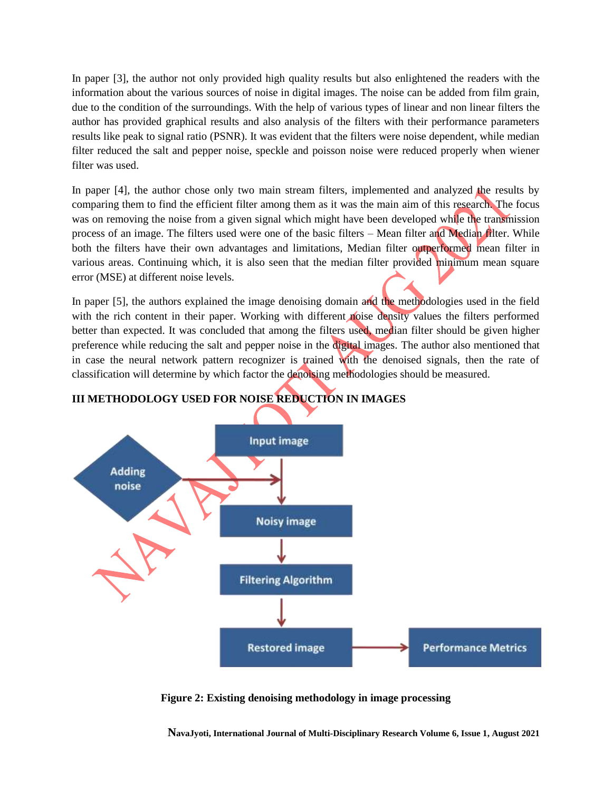In paper [3], the author not only provided high quality results but also enlightened the readers with the information about the various sources of noise in digital images. The noise can be added from film grain, due to the condition of the surroundings. With the help of various types of linear and non linear filters the author has provided graphical results and also analysis of the filters with their performance parameters results like peak to signal ratio (PSNR). It was evident that the filters were noise dependent, while median filter reduced the salt and pepper noise, speckle and poisson noise were reduced properly when wiener filter was used.

In paper [4], the author chose only two main stream filters, implemented and analyzed the results by comparing them to find the efficient filter among them as it was the main aim of this research. The focus was on removing the noise from a given signal which might have been developed while the transmission process of an image. The filters used were one of the basic filters – Mean filter and Median filter. While both the filters have their own advantages and limitations, Median filter outperformed mean filter in various areas. Continuing which, it is also seen that the median filter provided minimum mean square error (MSE) at different noise levels.

In paper [5], the authors explained the image denoising domain and the methodologies used in the field with the rich content in their paper. Working with different noise density values the filters performed better than expected. It was concluded that among the filters used, median filter should be given higher preference while reducing the salt and pepper noise in the digital images. The author also mentioned that in case the neural network pattern recognizer is trained with the denoised signals, then the rate of classification will determine by which factor the denoising methodologies should be measured.



## **III METHODOLOGY USED FOR NOISE REDUCTION IN IMAGES**

**Figure 2: Existing denoising methodology in image processing**

**NavaJyoti, International Journal of Multi-Disciplinary Research Volume 6, Issue 1, August 2021**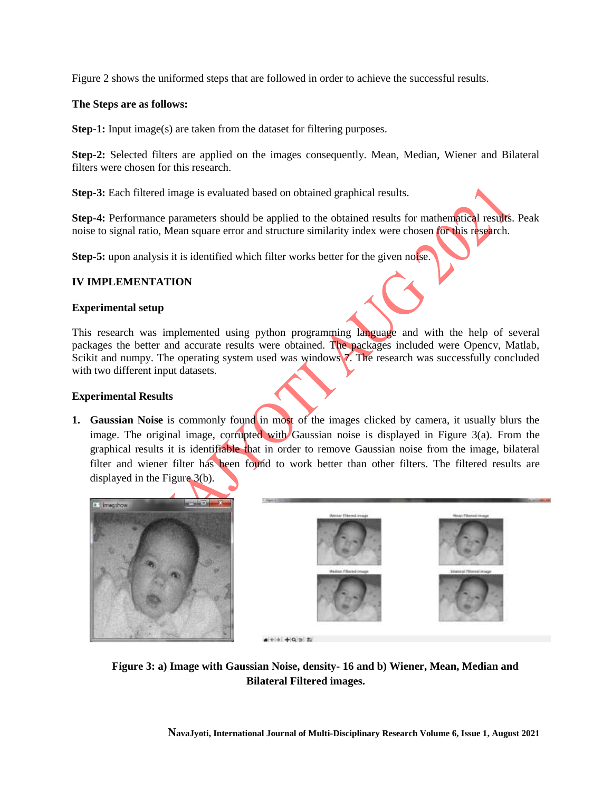Figure 2 shows the uniformed steps that are followed in order to achieve the successful results.

#### **The Steps are as follows:**

**Step-1:** Input image(s) are taken from the dataset for filtering purposes.

**Step-2:** Selected filters are applied on the images consequently. Mean, Median, Wiener and Bilateral filters were chosen for this research.

**Step-3:** Each filtered image is evaluated based on obtained graphical results.

**Step-4:** Performance parameters should be applied to the obtained results for mathematical results. Peak noise to signal ratio, Mean square error and structure similarity index were chosen for this research.

**Step-5:** upon analysis it is identified which filter works better for the given notice.

#### **IV IMPLEMENTATION**

#### **Experimental setup**

This research was implemented using python programming language and with the help of several packages the better and accurate results were obtained. The packages included were Opencv, Matlab, Scikit and numpy. The operating system used was windows 7. The research was successfully concluded with two different input datasets.

#### **Experimental Results**

**1. Gaussian Noise** is commonly found in most of the images clicked by camera, it usually blurs the image. The original image, corrupted with Gaussian noise is displayed in Figure 3(a). From the graphical results it is identifiable that in order to remove Gaussian noise from the image, bilateral filter and wiener filter has been found to work better than other filters. The filtered results are displayed in the Figure 3(b).





 $A + 1 + 1 + 0 + 1 + 0$ 

 **Figure 3: a) Image with Gaussian Noise, density- 16 and b) Wiener, Mean, Median and Bilateral Filtered images.**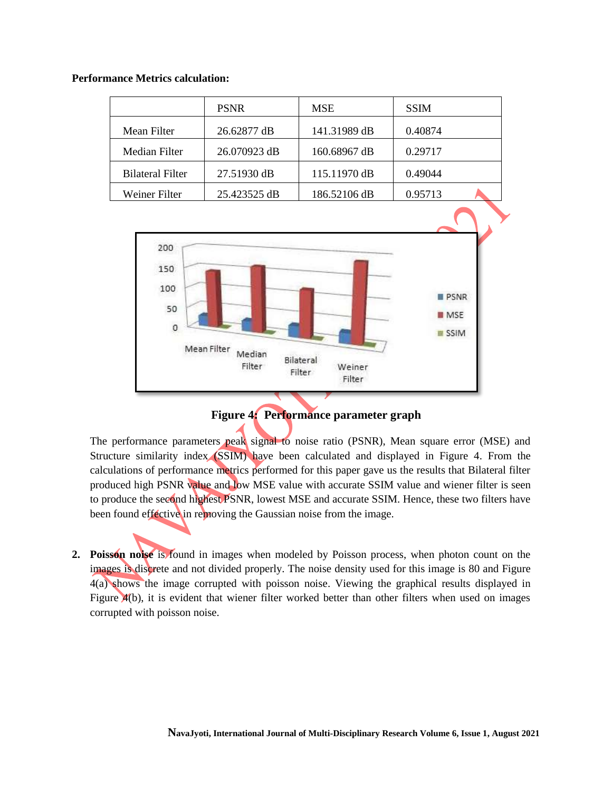#### **Performance Metrics calculation:**

|                         | <b>PSNR</b>  | <b>MSE</b>   | <b>SSIM</b> |
|-------------------------|--------------|--------------|-------------|
| Mean Filter             | 26.62877 dB  | 141.31989 dB | 0.40874     |
| Median Filter           | 26.070923 dB | 160.68967 dB | 0.29717     |
| <b>Bilateral Filter</b> | 27.51930 dB  | 115.11970 dB | 0.49044     |
| Weiner Filter           | 25.423525 dB | 186.52106 dB | 0.95713     |



# **Figure 4: Performance parameter graph**

The performance parameters peak signal to noise ratio (PSNR), Mean square error (MSE) and Structure similarity index (SSIM) have been calculated and displayed in Figure 4. From the calculations of performance metrics performed for this paper gave us the results that Bilateral filter produced high PSNR value and low MSE value with accurate SSIM value and wiener filter is seen to produce the second highest PSNR, lowest MSE and accurate SSIM. Hence, these two filters have been found effective in removing the Gaussian noise from the image.

**2. Poisson noise** is found in images when modeled by Poisson process, when photon count on the images is discrete and not divided properly. The noise density used for this image is 80 and Figure 4(a) shows the image corrupted with poisson noise. Viewing the graphical results displayed in Figure  $A(b)$ , it is evident that wiener filter worked better than other filters when used on images corrupted with poisson noise.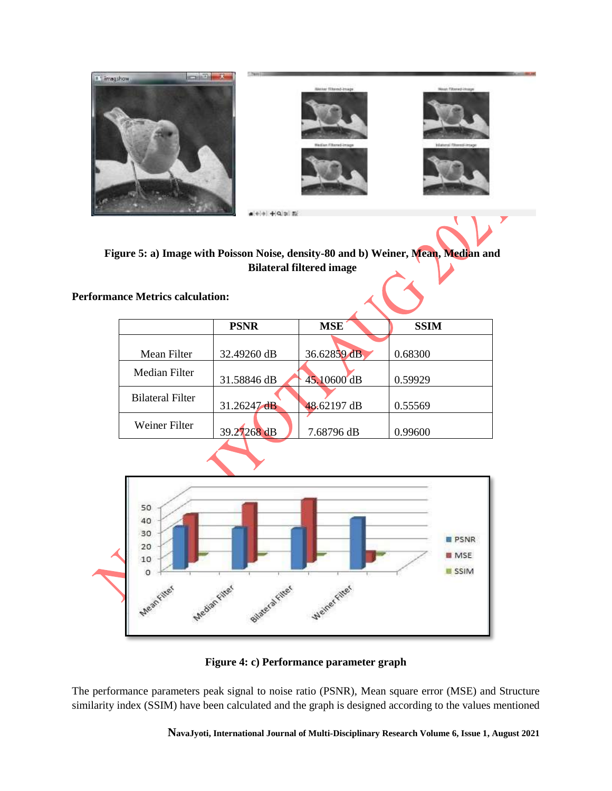

**Figure 5: a) Image with Poisson Noise, density-80 and b) Weiner, Mean, Median and Bilateral filtered image**

**Performance Metrics calculation:**

|                         | <b>PSNR</b> | <b>MSE</b>  | <b>SSIM</b> |
|-------------------------|-------------|-------------|-------------|
|                         |             |             |             |
| Mean Filter             | 32.49260 dB | 36.62859 dB | 0.68300     |
| Median Filter           |             |             |             |
|                         | 31.58846 dB | 45.10600 dB | 0.59929     |
| <b>Bilateral Filter</b> |             |             |             |
|                         | 31.26247dB  | 48.62197 dB | 0.55569     |
| Weiner Filter           |             |             |             |
|                         | 39.27268 dB | 7.68796 dB  | 0.99600     |
|                         |             |             |             |



**Figure 4: c) Performance parameter graph**

The performance parameters peak signal to noise ratio (PSNR), Mean square error (MSE) and Structure similarity index (SSIM) have been calculated and the graph is designed according to the values mentioned